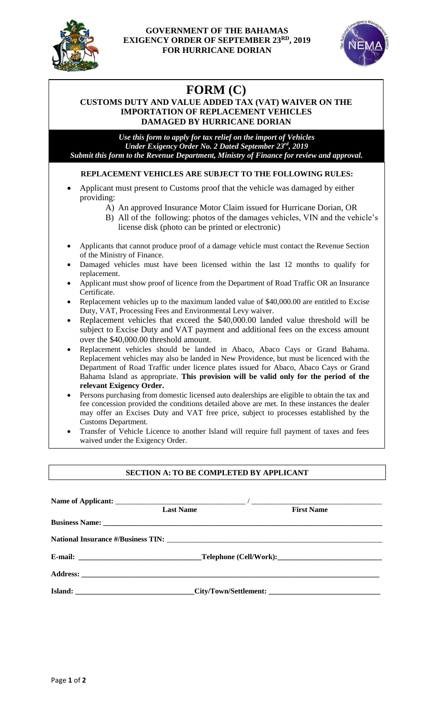

## **GOVERNMENT OF THE BAHAMAS EXIGENCY ORDER OF SEPTEMBER 23 RD, 2019 FOR HURRICANE DORIAN**



# **FORM (C)**

## **CUSTOMS DUTY AND VALUE ADDED TAX (VAT) WAIVER ON THE IMPORTATION OF REPLACEMENT VEHICLES DAMAGED BY HURRICANE DORIAN**

*Use this form to apply for tax relief on the import of Vehicles Under Exigency Order No. 2 Dated September 23rd , 2019 Submit this form to the Revenue Department, Ministry of Finance for review and approval.*

## **REPLACEMENT VEHICLES ARE SUBJECT TO THE FOLLOWING RULES:**

- Applicant must present to Customs proof that the vehicle was damaged by either providing:
	- A) An approved Insurance Motor Claim issued for Hurricane Dorian, OR
	- B) All of the following: photos of the damages vehicles, VIN and the vehicle's license disk (photo can be printed or electronic)
- Applicants that cannot produce proof of a damage vehicle must contact the Revenue Section of the Ministry of Finance.
- Damaged vehicles must have been licensed within the last 12 months to qualify for replacement.
- Applicant must show proof of licence from the Department of Road Traffic OR an Insurance Certificate.
- Replacement vehicles up to the maximum landed value of \$40,000.00 are entitled to Excise Duty, VAT, Processing Fees and Environmental Levy waiver.
- Replacement vehicles that exceed the \$40,000.00 landed value threshold will be subject to Excise Duty and VAT payment and additional fees on the excess amount over the \$40,000.00 threshold amount.
- Replacement vehicles should be landed in Abaco, Abaco Cays or Grand Bahama. Replacement vehicles may also be landed in New Providence, but must be licenced with the Department of Road Traffic under licence plates issued for Abaco, Abaco Cays or Grand Bahama Island as appropriate. **This provision will be valid only for the period of the relevant Exigency Order.**
- Persons purchasing from domestic licensed auto dealerships are eligible to obtain the tax and fee concession provided the conditions detailed above are met. In these instances the dealer may offer an Excises Duty and VAT free price, subject to processes established by the Customs Department.
- Transfer of Vehicle Licence to another Island will require full payment of taxes and fees waived under the Exigency Order.

## **SECTION A: TO BE COMPLETED BY APPLICANT**

| <b>Last Name</b>               | <b>First Name</b>                                                                 |  |
|--------------------------------|-----------------------------------------------------------------------------------|--|
|                                |                                                                                   |  |
|                                |                                                                                   |  |
| E-mail: Telephone (Cell/Work): |                                                                                   |  |
|                                |                                                                                   |  |
|                                | Island: ________________________________City/Town/Settlement: ___________________ |  |